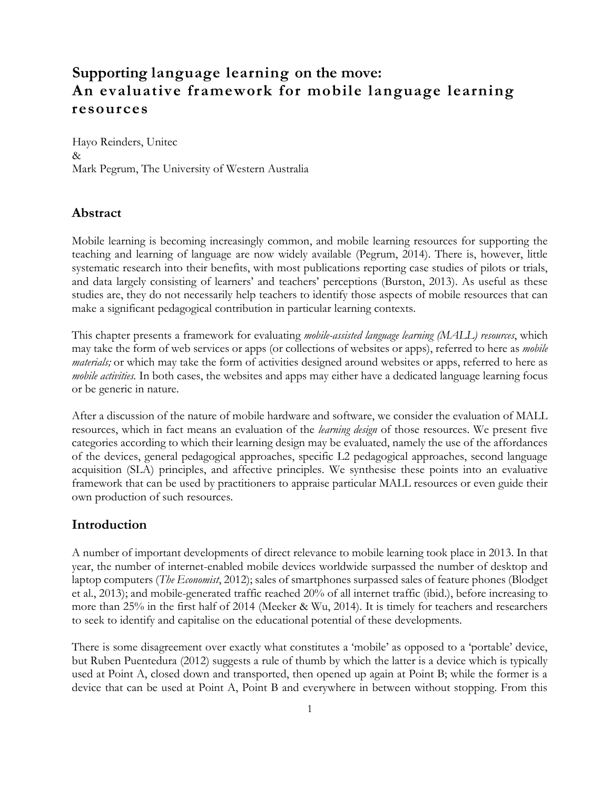# **Supporting language learning on the move: An evaluative framework for mobile language learning resources**

Hayo Reinders, Unitec & Mark Pegrum, The University of Western Australia

### **Abstract**

Mobile learning is becoming increasingly common, and mobile learning resources for supporting the teaching and learning of language are now widely available (Pegrum, 2014). There is, however, little systematic research into their benefits, with most publications reporting case studies of pilots or trials, and data largely consisting of learners' and teachers' perceptions (Burston, 2013). As useful as these studies are, they do not necessarily help teachers to identify those aspects of mobile resources that can make a significant pedagogical contribution in particular learning contexts.

This chapter presents a framework for evaluating *mobile-assisted language learning (MALL) resources*, which may take the form of web services or apps (or collections of websites or apps), referred to here as *mobile materials;* or which may take the form of activities designed around websites or apps, referred to here as *mobile activities.* In both cases, the websites and apps may either have a dedicated language learning focus or be generic in nature.

After a discussion of the nature of mobile hardware and software, we consider the evaluation of MALL resources, which in fact means an evaluation of the *learning design* of those resources. We present five categories according to which their learning design may be evaluated, namely the use of the affordances of the devices, general pedagogical approaches, specific L2 pedagogical approaches, second language acquisition (SLA) principles, and affective principles. We synthesise these points into an evaluative framework that can be used by practitioners to appraise particular MALL resources or even guide their own production of such resources.

### **Introduction**

A number of important developments of direct relevance to mobile learning took place in 2013. In that year, the number of internet-enabled mobile devices worldwide surpassed the number of desktop and laptop computers (*The Economist*, 2012); sales of smartphones surpassed sales of feature phones (Blodget et al., 2013); and mobile-generated traffic reached 20% of all internet traffic (ibid.), before increasing to more than 25% in the first half of 2014 (Meeker & Wu, 2014). It is timely for teachers and researchers to seek to identify and capitalise on the educational potential of these developments.

There is some disagreement over exactly what constitutes a 'mobile' as opposed to a 'portable' device, but Ruben Puentedura (2012) suggests a rule of thumb by which the latter is a device which is typically used at Point A, closed down and transported, then opened up again at Point B; while the former is a device that can be used at Point A, Point B and everywhere in between without stopping. From this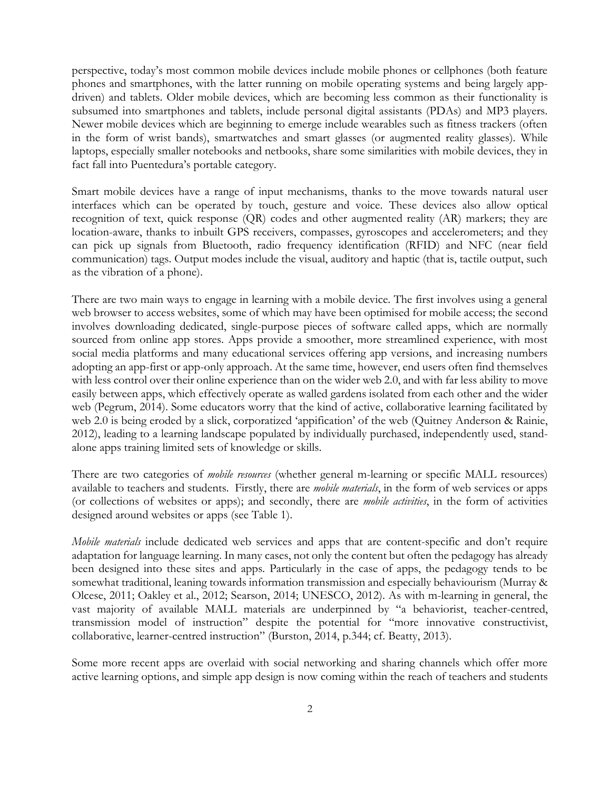perspective, today's most common mobile devices include mobile phones or cellphones (both feature phones and smartphones, with the latter running on mobile operating systems and being largely appdriven) and tablets. Older mobile devices, which are becoming less common as their functionality is subsumed into smartphones and tablets, include personal digital assistants (PDAs) and MP3 players. Newer mobile devices which are beginning to emerge include wearables such as fitness trackers (often in the form of wrist bands), smartwatches and smart glasses (or augmented reality glasses). While laptops, especially smaller notebooks and netbooks, share some similarities with mobile devices, they in fact fall into Puentedura's portable category.

Smart mobile devices have a range of input mechanisms, thanks to the move towards natural user interfaces which can be operated by touch, gesture and voice. These devices also allow optical recognition of text, quick response (QR) codes and other augmented reality (AR) markers; they are location-aware, thanks to inbuilt GPS receivers, compasses, gyroscopes and accelerometers; and they can pick up signals from Bluetooth, radio frequency identification (RFID) and NFC (near field communication) tags. Output modes include the visual, auditory and haptic (that is, tactile output, such as the vibration of a phone).

There are two main ways to engage in learning with a mobile device. The first involves using a general web browser to access websites, some of which may have been optimised for mobile access; the second involves downloading dedicated, single-purpose pieces of software called apps, which are normally sourced from online app stores. Apps provide a smoother, more streamlined experience, with most social media platforms and many educational services offering app versions, and increasing numbers adopting an app-first or app-only approach. At the same time, however, end users often find themselves with less control over their online experience than on the wider web 2.0, and with far less ability to move easily between apps, which effectively operate as walled gardens isolated from each other and the wider web (Pegrum, 2014). Some educators worry that the kind of active, collaborative learning facilitated by web 2.0 is being eroded by a slick, corporatized 'appification' of the web (Quitney Anderson & Rainie, 2012), leading to a learning landscape populated by individually purchased, independently used, standalone apps training limited sets of knowledge or skills.

There are two categories of *mobile resources* (whether general m-learning or specific MALL resources) available to teachers and students. Firstly, there are *mobile materials*, in the form of web services or apps (or collections of websites or apps); and secondly, there are *mobile activities*, in the form of activities designed around websites or apps (see Table 1).

*Mobile materials* include dedicated web services and apps that are content-specific and don't require adaptation for language learning. In many cases, not only the content but often the pedagogy has already been designed into these sites and apps. Particularly in the case of apps, the pedagogy tends to be somewhat traditional, leaning towards information transmission and especially behaviourism (Murray & Olcese, 2011; Oakley et al., 2012; Searson, 2014; UNESCO, 2012). As with m-learning in general, the vast majority of available MALL materials are underpinned by "a behaviorist, teacher-centred, transmission model of instruction" despite the potential for "more innovative constructivist, collaborative, learner-centred instruction" (Burston, 2014, p.344; cf. Beatty, 2013).

Some more recent apps are overlaid with social networking and sharing channels which offer more active learning options, and simple app design is now coming within the reach of teachers and students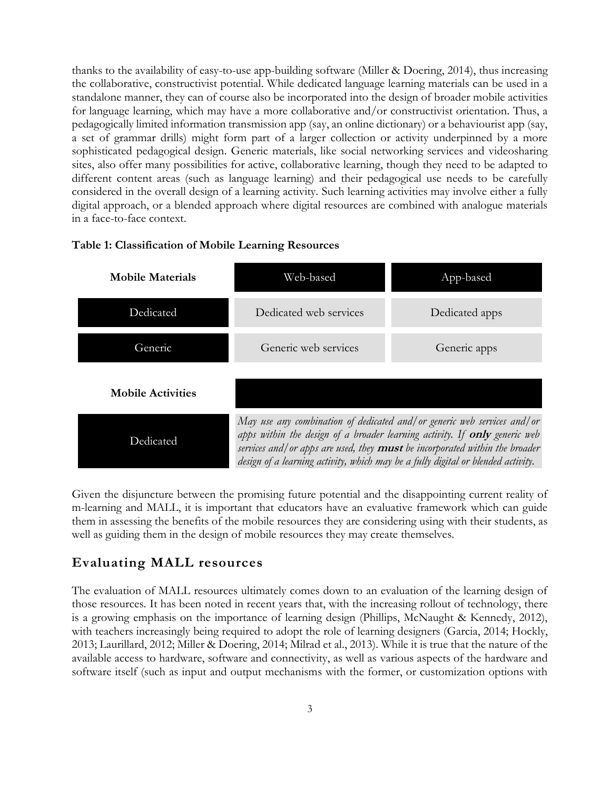thanks to the availability of easy-to-use app-building software (Miller & Doering, 2014), thus increasing the collaborative, constructivist potential. While dedicated language learning materials can be used in a standalone manner, they can of course also be incorporated into the design of broader mobile activities for language learning, which may have a more collaborative and/or constructivist orientation. Thus, a pedagogically limited information transmission app (say, an online dictionary) or a behaviourist app (say, a set of grammar drills) might form part of a larger collection or activity underpinned by a more sophisticated pedagogical design. Generic materials, like social networking services and videosharing sites, also offer many possibilities for active, collaborative learning, though they need to be adapted to different content areas (such as language learning) and their pedagogical use needs to be carefully considered in the overall design of a learning activity. Such learning activities may involve either a fully digital approach, or a blended approach where digital resources are combined with analogue materials in a face-to-face context.

| <b>Mobile Materials</b>  | Web-based              | App-based                                                                                                                                                                                                                                                                                                                               |
|--------------------------|------------------------|-----------------------------------------------------------------------------------------------------------------------------------------------------------------------------------------------------------------------------------------------------------------------------------------------------------------------------------------|
| Dedicated                | Dedicated web services | Dedicated apps                                                                                                                                                                                                                                                                                                                          |
| Generic                  | Generic web services   | Generic apps                                                                                                                                                                                                                                                                                                                            |
| <b>Mobile Activities</b> |                        |                                                                                                                                                                                                                                                                                                                                         |
| Dedicated                |                        | May use any combination of dedicated and/or generic web services and/or<br>apps within the design of a broader learning activity. If <b>only</b> generic web<br>services and/ or apps are used, they <b>must</b> be incorporated within the broader<br>design of a learning activity, which may be a fully digital or blended activity. |

#### **Table 1: Classification of Mobile Learning Resources**

Given the disjuncture between the promising future potential and the disappointing current reality of m-learning and MALL, it is important that educators have an evaluative framework which can guide them in assessing the benefits of the mobile resources they are considering using with their students, as well as guiding them in the design of mobile resources they may create themselves.

### **Evaluating MALL resources**

The evaluation of MALL resources ultimately comes down to an evaluation of the learning design of those resources. It has been noted in recent years that, with the increasing rollout of technology, there is a growing emphasis on the importance of learning design (Phillips, McNaught & Kennedy, 2012), with teachers increasingly being required to adopt the role of learning designers (Garcia, 2014; Hockly, 2013; Laurillard, 2012; Miller & Doering, 2014; Milrad et al., 2013). While it is true that the nature of the available access to hardware, software and connectivity, as well as various aspects of the hardware and software itself (such as input and output mechanisms with the former, or customization options with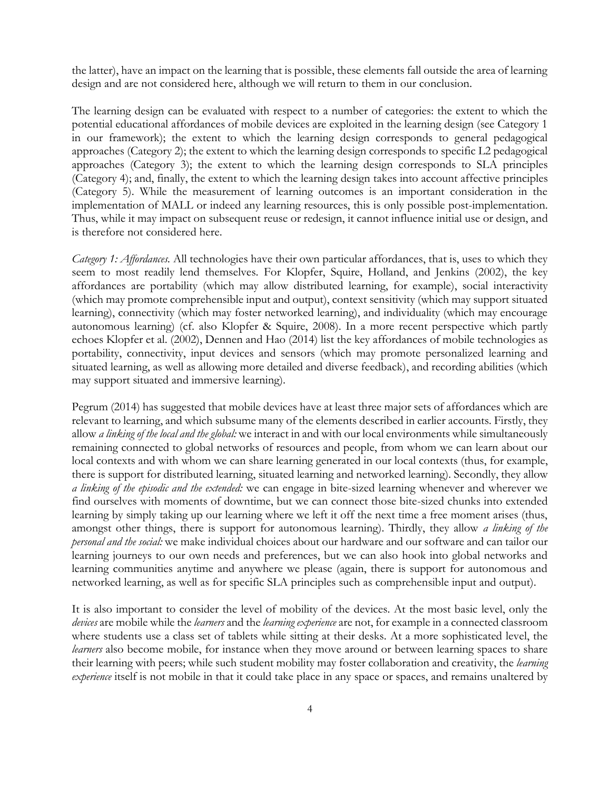the latter), have an impact on the learning that is possible, these elements fall outside the area of learning design and are not considered here, although we will return to them in our conclusion.

The learning design can be evaluated with respect to a number of categories: the extent to which the potential educational affordances of mobile devices are exploited in the learning design (see Category 1 in our framework); the extent to which the learning design corresponds to general pedagogical approaches (Category 2); the extent to which the learning design corresponds to specific L2 pedagogical approaches (Category 3); the extent to which the learning design corresponds to SLA principles (Category 4); and, finally, the extent to which the learning design takes into account affective principles (Category 5). While the measurement of learning outcomes is an important consideration in the implementation of MALL or indeed any learning resources, this is only possible post-implementation. Thus, while it may impact on subsequent reuse or redesign, it cannot influence initial use or design, and is therefore not considered here.

*Category 1: Affordances.* All technologies have their own particular affordances, that is, uses to which they seem to most readily lend themselves. For Klopfer, Squire, Holland, and Jenkins (2002), the key affordances are portability (which may allow distributed learning, for example), social interactivity (which may promote comprehensible input and output), context sensitivity (which may support situated learning), connectivity (which may foster networked learning), and individuality (which may encourage autonomous learning) (cf. also Klopfer & Squire, 2008). In a more recent perspective which partly echoes Klopfer et al. (2002), Dennen and Hao (2014) list the key affordances of mobile technologies as portability, connectivity, input devices and sensors (which may promote personalized learning and situated learning, as well as allowing more detailed and diverse feedback), and recording abilities (which may support situated and immersive learning).

Pegrum (2014) has suggested that mobile devices have at least three major sets of affordances which are relevant to learning, and which subsume many of the elements described in earlier accounts. Firstly, they allow *a linking of the local and the global:* we interact in and with our local environments while simultaneously remaining connected to global networks of resources and people, from whom we can learn about our local contexts and with whom we can share learning generated in our local contexts (thus, for example, there is support for distributed learning, situated learning and networked learning). Secondly, they allow *a linking of the episodic and the extended:* we can engage in bite-sized learning whenever and wherever we find ourselves with moments of downtime, but we can connect those bite-sized chunks into extended learning by simply taking up our learning where we left it off the next time a free moment arises (thus, amongst other things, there is support for autonomous learning). Thirdly, they allow *a linking of the personal and the social:* we make individual choices about our hardware and our software and can tailor our learning journeys to our own needs and preferences, but we can also hook into global networks and learning communities anytime and anywhere we please (again, there is support for autonomous and networked learning, as well as for specific SLA principles such as comprehensible input and output).

It is also important to consider the level of mobility of the devices. At the most basic level, only the *devices* are mobile while the *learners* and the *learning experience* are not, for example in a connected classroom where students use a class set of tablets while sitting at their desks. At a more sophisticated level, the *learners* also become mobile, for instance when they move around or between learning spaces to share their learning with peers; while such student mobility may foster collaboration and creativity, the *learning experience* itself is not mobile in that it could take place in any space or spaces, and remains unaltered by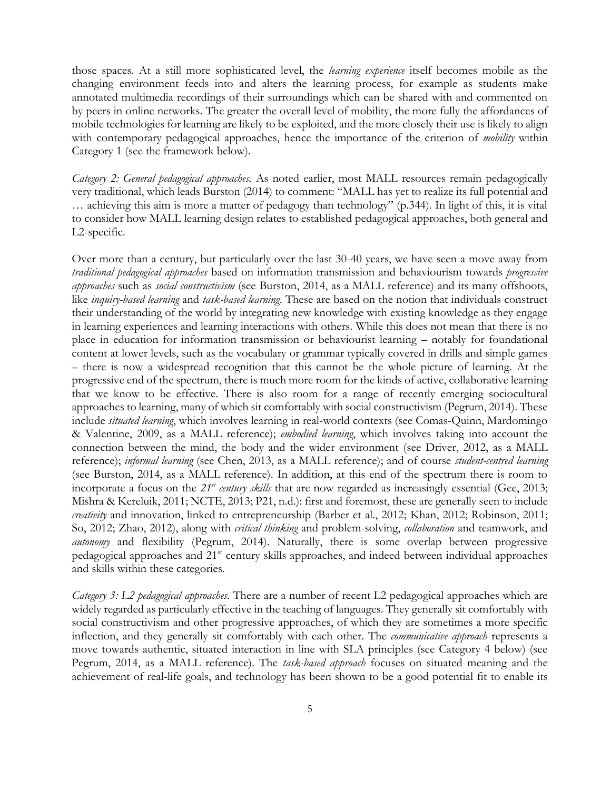those spaces. At a still more sophisticated level, the *learning experience* itself becomes mobile as the changing environment feeds into and alters the learning process, for example as students make annotated multimedia recordings of their surroundings which can be shared with and commented on by peers in online networks. The greater the overall level of mobility, the more fully the affordances of mobile technologies for learning are likely to be exploited, and the more closely their use is likely to align with contemporary pedagogical approaches, hence the importance of the criterion of *mobility* within Category 1 (see the framework below).

*Category 2: General pedagogical approaches.* As noted earlier, most MALL resources remain pedagogically very traditional, which leads Burston (2014) to comment: "MALL has yet to realize its full potential and … achieving this aim is more a matter of pedagogy than technology" (p.344). In light of this, it is vital to consider how MALL learning design relates to established pedagogical approaches, both general and L2-specific.

Over more than a century, but particularly over the last 30-40 years, we have seen a move away from *traditional pedagogical approaches* based on information transmission and behaviourism towards *progressive approaches* such as *social constructivism* (see Burston, 2014, as a MALL reference) and its many offshoots, like *inquiry-based learning* and *task-based learning*. These are based on the notion that individuals construct their understanding of the world by integrating new knowledge with existing knowledge as they engage in learning experiences and learning interactions with others. While this does not mean that there is no place in education for information transmission or behaviourist learning – notably for foundational content at lower levels, such as the vocabulary or grammar typically covered in drills and simple games – there is now a widespread recognition that this cannot be the whole picture of learning. At the progressive end of the spectrum, there is much more room for the kinds of active, collaborative learning that we know to be effective. There is also room for a range of recently emerging sociocultural approaches to learning, many of which sit comfortably with social constructivism (Pegrum, 2014). These include *situated learning*, which involves learning in real-world contexts (see Comas-Quinn, Mardomingo & Valentine, 2009, as a MALL reference); *embodied learning*, which involves taking into account the connection between the mind, the body and the wider environment (see Driver, 2012, as a MALL reference); *informal learning* (see Chen, 2013, as a MALL reference); and of course *student-centred learning* (see Burston, 2014, as a MALL reference). In addition, at this end of the spectrum there is room to incorporate a focus on the 21<sup>st</sup> century skills that are now regarded as increasingly essential (Gee, 2013; Mishra & Kereluik, 2011; NCTE, 2013; P21, n.d.): first and foremost, these are generally seen to include *creativity* and innovation, linked to entrepreneurship (Barber et al., 2012; Khan, 2012; Robinson, 2011; So, 2012; Zhao, 2012), along with *critical thinking* and problem-solving, *collaboration* and teamwork, and *autonomy* and flexibility (Pegrum, 2014). Naturally, there is some overlap between progressive pedagogical approaches and 21st century skills approaches, and indeed between individual approaches and skills within these categories.

*Category 3: L2 pedagogical approaches.* There are a number of recent L2 pedagogical approaches which are widely regarded as particularly effective in the teaching of languages. They generally sit comfortably with social constructivism and other progressive approaches, of which they are sometimes a more specific inflection, and they generally sit comfortably with each other. The *communicative approach* represents a move towards authentic, situated interaction in line with SLA principles (see Category 4 below) (see Pegrum, 2014, as a MALL reference). The *task-based approach* focuses on situated meaning and the achievement of real-life goals, and technology has been shown to be a good potential fit to enable its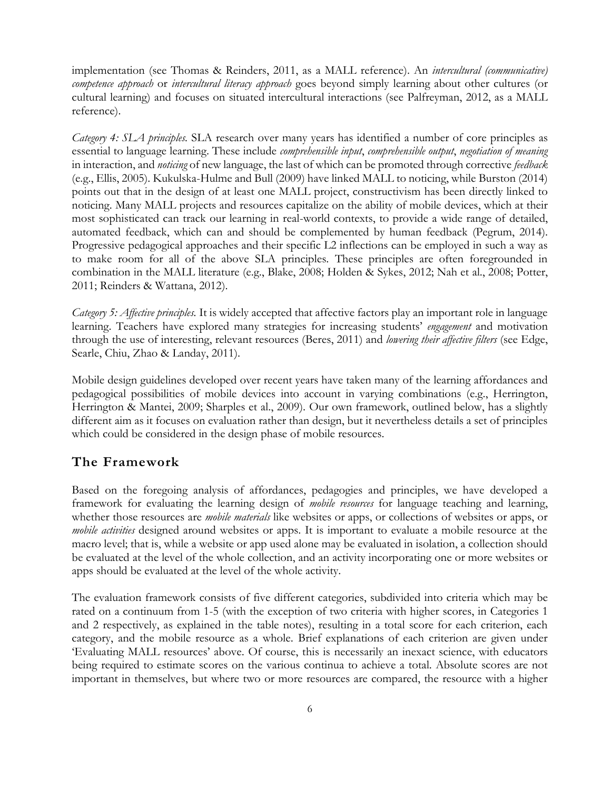implementation (see Thomas & Reinders, 2011, as a MALL reference). An *intercultural (communicative) competence approach* or *intercultural literacy approach* goes beyond simply learning about other cultures (or cultural learning) and focuses on situated intercultural interactions (see Palfreyman, 2012, as a MALL reference).

*Category 4: SLA principles.* SLA research over many years has identified a number of core principles as essential to language learning. These include *comprehensible input*, *comprehensible output*, *negotiation of meaning*  in interaction, and *noticing* of new language, the last of which can be promoted through corrective *feedback* (e.g., Ellis, 2005). Kukulska-Hulme and Bull (2009) have linked MALL to noticing, while Burston (2014) points out that in the design of at least one MALL project, constructivism has been directly linked to noticing. Many MALL projects and resources capitalize on the ability of mobile devices, which at their most sophisticated can track our learning in real-world contexts, to provide a wide range of detailed, automated feedback, which can and should be complemented by human feedback (Pegrum, 2014). Progressive pedagogical approaches and their specific L2 inflections can be employed in such a way as to make room for all of the above SLA principles. These principles are often foregrounded in combination in the MALL literature (e.g., Blake, 2008; Holden & Sykes, 2012; Nah et al., 2008; Potter, 2011; Reinders & Wattana, 2012).

*Category 5: Affective principles.* It is widely accepted that affective factors play an important role in language learning. Teachers have explored many strategies for increasing students' *engagement* and motivation through the use of interesting, relevant resources (Beres, 2011) and *lowering their affective filters* (see Edge, Searle, Chiu, Zhao & Landay, 2011).

Mobile design guidelines developed over recent years have taken many of the learning affordances and pedagogical possibilities of mobile devices into account in varying combinations (e.g., Herrington, Herrington & Mantei, 2009; Sharples et al., 2009). Our own framework, outlined below, has a slightly different aim as it focuses on evaluation rather than design, but it nevertheless details a set of principles which could be considered in the design phase of mobile resources.

### **The Framework**

Based on the foregoing analysis of affordances, pedagogies and principles, we have developed a framework for evaluating the learning design of *mobile resources* for language teaching and learning, whether those resources are *mobile materials* like websites or apps, or collections of websites or apps, or *mobile activities* designed around websites or apps. It is important to evaluate a mobile resource at the macro level; that is, while a website or app used alone may be evaluated in isolation, a collection should be evaluated at the level of the whole collection, and an activity incorporating one or more websites or apps should be evaluated at the level of the whole activity.

The evaluation framework consists of five different categories, subdivided into criteria which may be rated on a continuum from 1-5 (with the exception of two criteria with higher scores, in Categories 1 and 2 respectively, as explained in the table notes), resulting in a total score for each criterion, each category, and the mobile resource as a whole. Brief explanations of each criterion are given under 'Evaluating MALL resources' above. Of course, this is necessarily an inexact science, with educators being required to estimate scores on the various continua to achieve a total. Absolute scores are not important in themselves, but where two or more resources are compared, the resource with a higher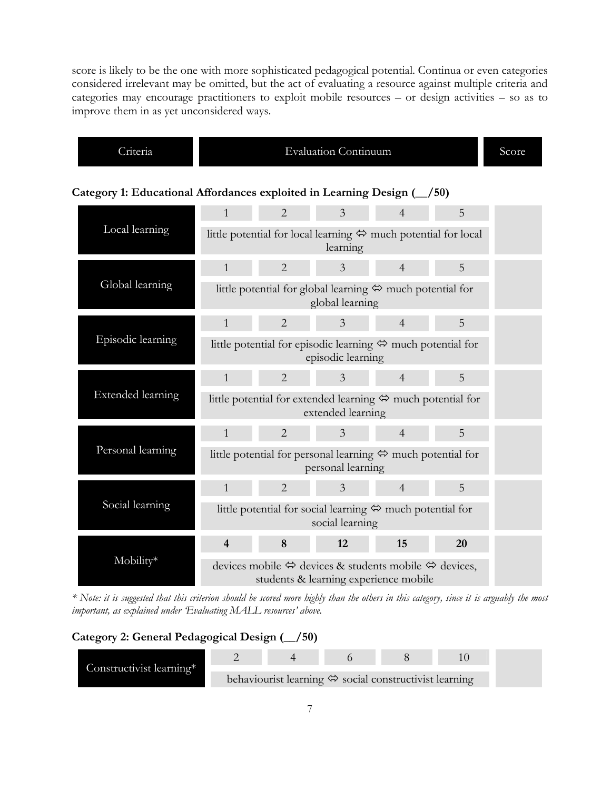score is likely to be the one with more sophisticated pedagogical potential. Continua or even categories considered irrelevant may be omitted, but the act of evaluating a resource against multiple criteria and categories may encourage practitioners to exploit mobile resources – or design activities – so as to improve them in as yet unconsidered ways.

| Criteria                                                                |                                                                                                  |                | <b>Evaluation Continuum</b> |                                                                                                                                |    | Score |
|-------------------------------------------------------------------------|--------------------------------------------------------------------------------------------------|----------------|-----------------------------|--------------------------------------------------------------------------------------------------------------------------------|----|-------|
| Category 1: Educational Affordances exploited in Learning Design (1/50) |                                                                                                  |                |                             |                                                                                                                                |    |       |
|                                                                         | $\mathbf{1}$                                                                                     | 2              | $\overline{3}$              | $\overline{4}$                                                                                                                 | 5  |       |
| Local learning                                                          | little potential for local learning $\Leftrightarrow$ much potential for local<br>learning       |                |                             |                                                                                                                                |    |       |
|                                                                         | $\mathbf{1}$                                                                                     | $\overline{2}$ | $\mathfrak{Z}$              | $\overline{4}$                                                                                                                 | 5  |       |
| Global learning                                                         | little potential for global learning $\Leftrightarrow$ much potential for<br>global learning     |                |                             |                                                                                                                                |    |       |
|                                                                         | $\mathbf{1}$                                                                                     | 2              | $\overline{3}$              | $\overline{4}$                                                                                                                 | 5  |       |
| Episodic learning                                                       |                                                                                                  |                | episodic learning           | little potential for episodic learning $\Leftrightarrow$ much potential for                                                    |    |       |
|                                                                         | 1                                                                                                | $\overline{2}$ | $\overline{3}$              | $\overline{4}$                                                                                                                 | 5  |       |
| <b>Extended</b> learning                                                | little potential for extended learning $\Leftrightarrow$ much potential for<br>extended learning |                |                             |                                                                                                                                |    |       |
|                                                                         | $\mathbf{1}$                                                                                     | 2              | $\overline{3}$              | $\overline{4}$                                                                                                                 | 5  |       |
| Personal learning                                                       | little potential for personal learning $\Leftrightarrow$ much potential for<br>personal learning |                |                             |                                                                                                                                |    |       |
|                                                                         | 1                                                                                                | $\overline{2}$ | $\mathfrak{Z}$              | $\overline{4}$                                                                                                                 | 5  |       |
| Social learning                                                         | little potential for social learning ⇔ much potential for<br>social learning                     |                |                             |                                                                                                                                |    |       |
|                                                                         | $\overline{4}$                                                                                   | 8              | 12                          | 15                                                                                                                             | 20 |       |
| Mobility*                                                               |                                                                                                  |                |                             | devices mobile $\Leftrightarrow$ devices & students mobile $\Leftrightarrow$ devices,<br>students & learning experience mobile |    |       |

*\* Note: it is suggested that this criterion should be scored more highly than the others in this category, since it is arguably the most important, as explained under 'Evaluating MALL resources' above.*

**Category 2: General Pedagogical Design (\_\_/50)**

| Constructivist learning $*$ |  | behaviourist learning $\Leftrightarrow$ social constructivist learning |  |
|-----------------------------|--|------------------------------------------------------------------------|--|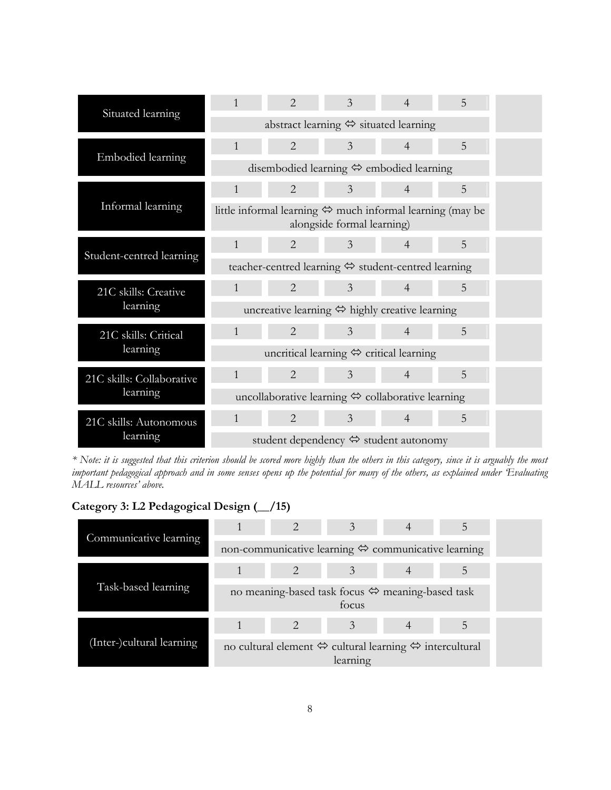| Situated learning                     | $\mathbf{1}$                                                                                            | $\overline{2}$ | $\overline{3}$ | $\overline{4}$ | 5 |
|---------------------------------------|---------------------------------------------------------------------------------------------------------|----------------|----------------|----------------|---|
|                                       | abstract learning $\Leftrightarrow$ situated learning                                                   |                |                |                |   |
| Embodied learning                     | $\mathbf{1}$                                                                                            | $\overline{2}$ | 3              | $\overline{4}$ | 5 |
|                                       | disembodied learning $\Leftrightarrow$ embodied learning                                                |                |                |                |   |
| Informal learning                     | $\mathbf{1}$                                                                                            | 2              | $\mathfrak{Z}$ | $\overline{4}$ | 5 |
|                                       | little informal learning $\Leftrightarrow$ much informal learning (may be<br>alongside formal learning) |                |                |                |   |
| Student-centred learning              | $\mathbf{1}$                                                                                            | $\overline{2}$ | $\overline{3}$ | $\overline{4}$ | 5 |
|                                       | teacher-centred learning ⇔ student-centred learning                                                     |                |                |                |   |
| 21C skills: Creative<br>learning      | $\mathbf{1}$                                                                                            | $\overline{2}$ | $\overline{3}$ | $\overline{4}$ | 5 |
|                                       | uncreative learning $\Leftrightarrow$ highly creative learning                                          |                |                |                |   |
| 21C skills: Critical<br>learning      | $\mathbf{1}$                                                                                            | $\overline{2}$ | $\mathfrak{Z}$ | $\overline{4}$ | 5 |
|                                       | uncritical learning $\Leftrightarrow$ critical learning                                                 |                |                |                |   |
| 21C skills: Collaborative<br>learning | $\mathbf{1}$                                                                                            | 2              | 3              | $\overline{4}$ | 5 |
|                                       | uncollaborative learning $\Leftrightarrow$ collaborative learning                                       |                |                |                |   |
| 21C skills: Autonomous<br>learning    | $\mathbf{1}$                                                                                            | $\overline{2}$ | $\overline{3}$ | $\overline{4}$ | 5 |
|                                       | student dependency ⇔ student autonomy                                                                   |                |                |                |   |

*\* Note: it is suggested that this criterion should be scored more highly than the others in this category, since it is arguably the most important pedagogical approach and in some senses opens up the potential for many of the others, as explained under Evaluating MALL resources' above.*

### **Category 3: L2 Pedagogical Design (\_\_/15)**

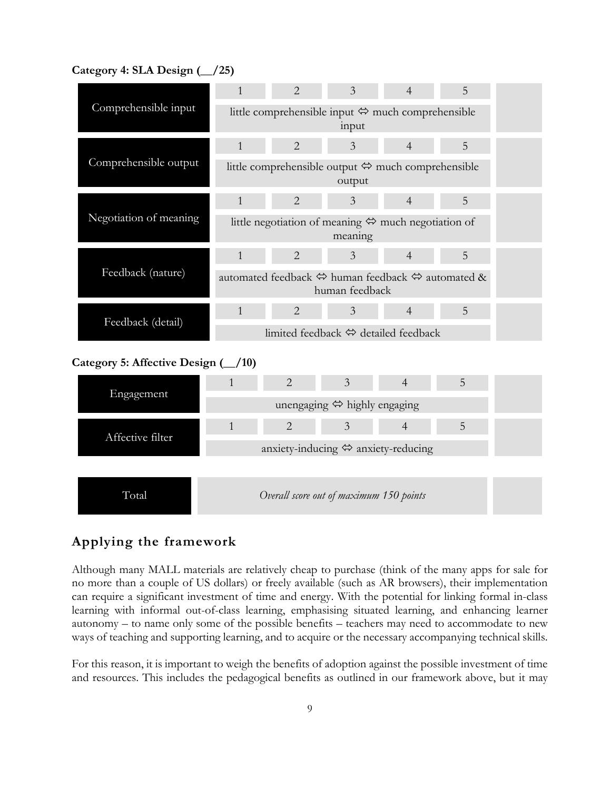



## **Applying the framework**

Although many MALL materials are relatively cheap to purchase (think of the many apps for sale for no more than a couple of US dollars) or freely available (such as AR browsers), their implementation can require a significant investment of time and energy. With the potential for linking formal in-class learning with informal out-of-class learning, emphasising situated learning, and enhancing learner autonomy – to name only some of the possible benefits – teachers may need to accommodate to new ways of teaching and supporting learning, and to acquire or the necessary accompanying technical skills.

For this reason, it is important to weigh the benefits of adoption against the possible investment of time and resources. This includes the pedagogical benefits as outlined in our framework above, but it may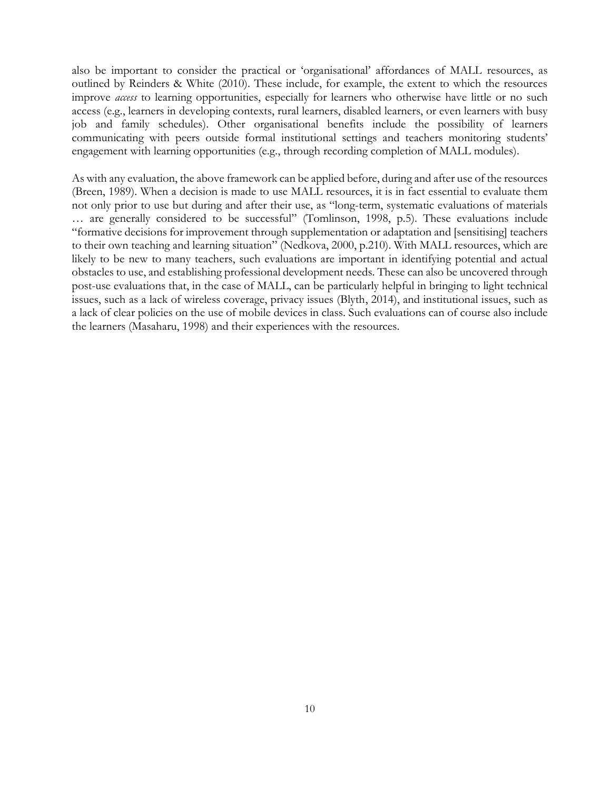also be important to consider the practical or 'organisational' affordances of MALL resources, as outlined by Reinders & White (2010). These include, for example, the extent to which the resources improve *access* to learning opportunities, especially for learners who otherwise have little or no such access (e.g., learners in developing contexts, rural learners, disabled learners, or even learners with busy job and family schedules). Other organisational benefits include the possibility of learners communicating with peers outside formal institutional settings and teachers monitoring students' engagement with learning opportunities (e.g., through recording completion of MALL modules).

As with any evaluation, the above framework can be applied before, during and after use of the resources (Breen, 1989). When a decision is made to use MALL resources, it is in fact essential to evaluate them not only prior to use but during and after their use, as "long-term, systematic evaluations of materials … are generally considered to be successful" (Tomlinson, 1998, p.5). These evaluations include "formative decisions for improvement through supplementation or adaptation and [sensitising] teachers to their own teaching and learning situation" (Nedkova, 2000, p.210). With MALL resources, which are likely to be new to many teachers, such evaluations are important in identifying potential and actual obstacles to use, and establishing professional development needs. These can also be uncovered through post-use evaluations that, in the case of MALL, can be particularly helpful in bringing to light technical issues, such as a lack of wireless coverage, privacy issues (Blyth, 2014), and institutional issues, such as a lack of clear policies on the use of mobile devices in class. Such evaluations can of course also include the learners (Masaharu, 1998) and their experiences with the resources.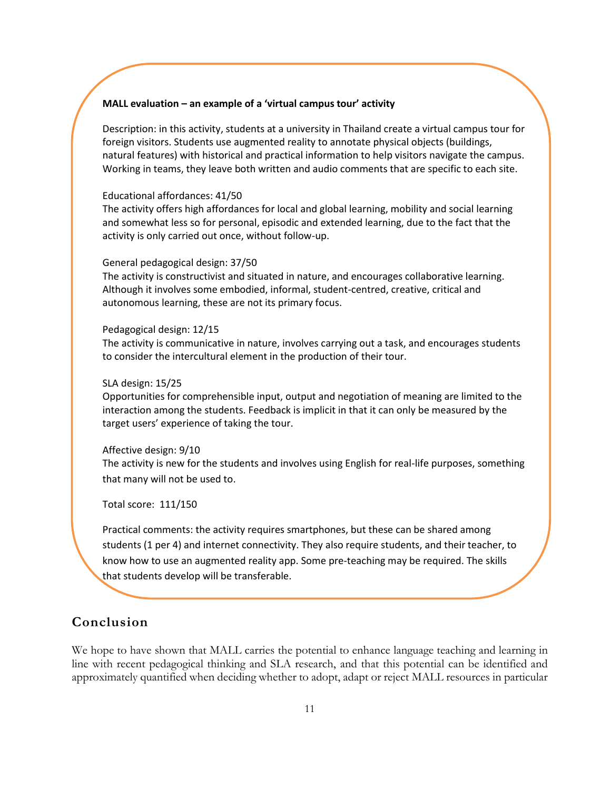#### **MALL evaluation – an example of a 'virtual campus tour' activity**

Description: in this activity, students at a university in Thailand create a virtual campus tour for foreign visitors. Students use augmented reality to annotate physical objects (buildings, natural features) with historical and practical information to help visitors navigate the campus. Working in teams, they leave both written and audio comments that are specific to each site.

#### Educational affordances: 41/50

The activity offers high affordances for local and global learning, mobility and social learning and somewhat less so for personal, episodic and extended learning, due to the fact that the activity is only carried out once, without follow-up.

#### General pedagogical design: 37/50

The activity is constructivist and situated in nature, and encourages collaborative learning. Although it involves some embodied, informal, student-centred, creative, critical and autonomous learning, these are not its primary focus.

#### Pedagogical design: 12/15

The activity is communicative in nature, involves carrying out a task, and encourages students to consider the intercultural element in the production of their tour.

#### SLA design: 15/25

Opportunities for comprehensible input, output and negotiation of meaning are limited to the interaction among the students. Feedback is implicit in that it can only be measured by the target users' experience of taking the tour.

#### Affective design: 9/10

The activity is new for the students and involves using English for real-life purposes, something that many will not be used to.

Total score: 111/150

Practical comments: the activity requires smartphones, but these can be shared among students (1 per 4) and internet connectivity. They also require students, and their teacher, to know how to use an augmented reality app. Some pre-teaching may be required. The skills that students develop will be transferable.

### **Conclusion**

We hope to have shown that MALL carries the potential to enhance language teaching and learning in line with recent pedagogical thinking and SLA research, and that this potential can be identified and approximately quantified when deciding whether to adopt, adapt or reject MALL resources in particular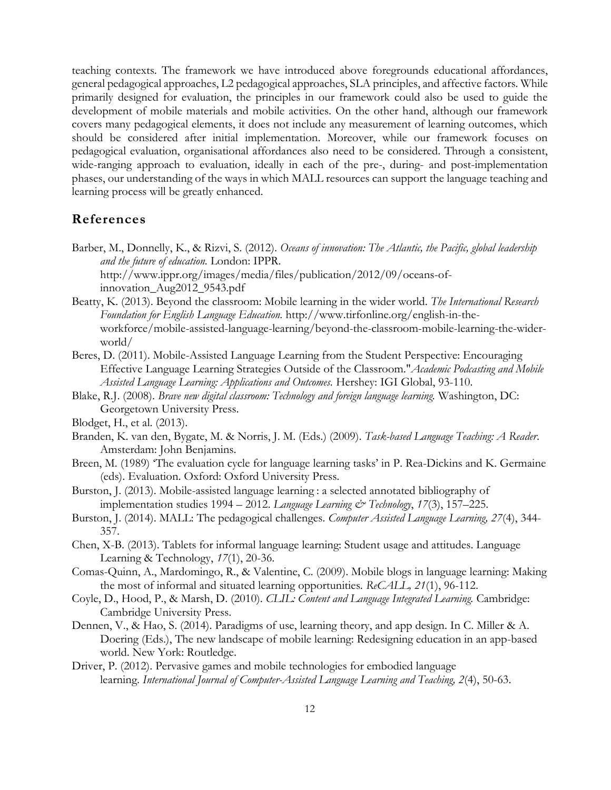teaching contexts. The framework we have introduced above foregrounds educational affordances, general pedagogical approaches, L2 pedagogical approaches, SLA principles, and affective factors. While primarily designed for evaluation, the principles in our framework could also be used to guide the development of mobile materials and mobile activities. On the other hand, although our framework covers many pedagogical elements, it does not include any measurement of learning outcomes, which should be considered after initial implementation. Moreover, while our framework focuses on pedagogical evaluation, organisational affordances also need to be considered. Through a consistent, wide-ranging approach to evaluation, ideally in each of the pre-, during- and post-implementation phases, our understanding of the ways in which MALL resources can support the language teaching and learning process will be greatly enhanced.

### **References**

- Barber, M., Donnelly, K., & Rizvi, S. (2012). *Oceans of innovation: The Atlantic, the Pacific, global leadership and the future of education.* London: IPPR. http://www.ippr.org/images/media/files/publication/2012/09/oceans-ofinnovation\_Aug2012\_9543.pdf
- Beatty, K. (2013). Beyond the classroom: Mobile learning in the wider world. *The International Research Foundation for English Language Education.* http://www.tirfonline.org/english-in-theworkforce/mobile-assisted-language-learning/beyond-the-classroom-mobile-learning-the-widerworld/
- Beres, D. (2011). Mobile-Assisted Language Learning from the Student Perspective: Encouraging Effective Language Learning Strategies Outside of the Classroom."*Academic Podcasting and Mobile Assisted Language Learning: Applications and Outcomes.* Hershey: IGI Global, 93-110.
- Blake, R.J. (2008). *Brave new digital classroom: Technology and foreign language learning.* Washington, DC: Georgetown University Press.
- Blodget, H., et al. (2013).
- Branden, K. van den, Bygate, M. & Norris, J. M. (Eds.) (2009). *Task-based Language Teaching: A Reader*. Amsterdam: John Benjamins.
- Breen, M. (1989) 'The evaluation cycle for language learning tasks' in P. Rea-Dickins and K. Germaine (eds). Evaluation. Oxford: Oxford University Press.
- Burston, J. (2013). Mobile-assisted language learning : a selected annotated bibliography of implementation studies 1994 – 2012. *Language Learning & Technology*, *17*(3), 157–225.
- Burston, J. (2014). MALL: The pedagogical challenges. *Computer Assisted Language Learning, 27*(4), 344- 357.
- Chen, X-B. (2013). Tablets for informal language learning: Student usage and attitudes. Language Learning & Technology, *17*(1), 20-36.
- Comas-Quinn, A., Mardomingo, R., & Valentine, C. (2009). Mobile blogs in language learning: Making the most of informal and situated learning opportunities. *ReCALL, 21*(1), 96-112.
- Coyle, D., Hood, P., & Marsh, D. (2010). *CLIL: Content and Language Integrated Learning.* Cambridge: Cambridge University Press.
- Dennen, V., & Hao, S. (2014). Paradigms of use, learning theory, and app design. In C. Miller & A. Doering (Eds.), The new landscape of mobile learning: Redesigning education in an app-based world. New York: Routledge.
- Driver, P. (2012). Pervasive games and mobile technologies for embodied language learning. *International Journal of Computer-Assisted Language Learning and Teaching, 2*(4), 50-63.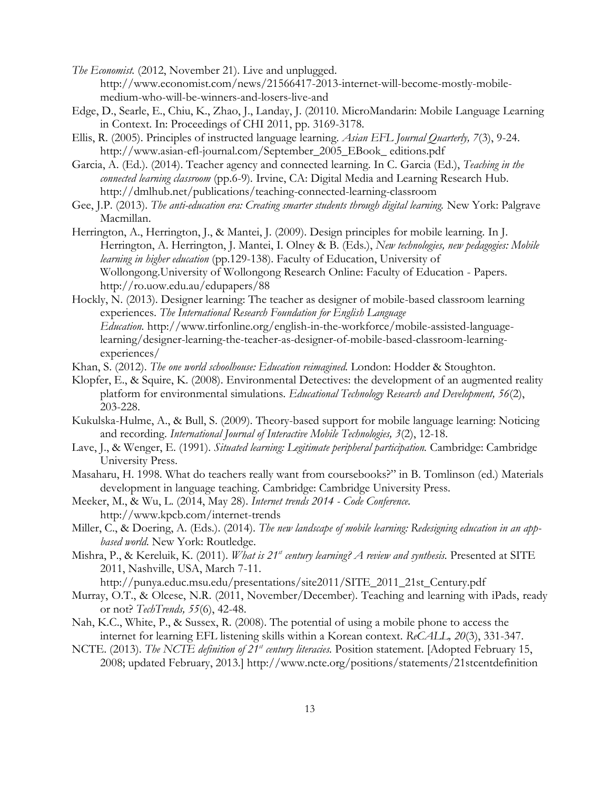*The Economist.* (2012, November 21). Live and unplugged. http://www.economist.com/news/21566417-2013-internet-will-become-mostly-mobilemedium-who-will-be-winners-and-losers-live-and

- Edge, D., Searle, E., Chiu, K., Zhao, J., Landay, J. (20110. MicroMandarin: Mobile Language Learning in Context. In: Proceedings of CHI 2011, pp. 3169-3178.
- Ellis, R. (2005). Principles of instructed language learning. *Asian EFL Journal Quarterly, 7*(3), 9-24. http://www.asian-efl-journal.com/September\_2005\_EBook\_ editions.pdf
- Garcia, A. (Ed.). (2014). Teacher agency and connected learning. In C. Garcia (Ed.), *Teaching in the connected learning classroom* (pp.6-9)*.* Irvine, CA: Digital Media and Learning Research Hub. http://dmlhub.net/publications/teaching-connected-learning-classroom
- Gee, J.P. (2013). *The anti-education era: Creating smarter students through digital learning.* New York: Palgrave Macmillan.
- Herrington, A., Herrington, J., & Mantei, J. (2009). Design principles for mobile learning*.* In J. Herrington, A. Herrington, J. Mantei, I. Olney & B. (Eds.), *New technologies, new pedagogies: Mobile learning in higher education* (pp.129-138). Faculty of Education, University of Wollongong.University of Wollongong Research Online: Faculty of Education - Papers. http://ro.uow.edu.au/edupapers/88
- Hockly, N. (2013). Designer learning: The teacher as designer of mobile-based classroom learning experiences. *The International Research Foundation for English Language Education.* http://www.tirfonline.org/english-in-the-workforce/mobile-assisted-languagelearning/designer-learning-the-teacher-as-designer-of-mobile-based-classroom-learningexperiences/
- Khan, S. (2012). *The one world schoolhouse: Education reimagined.* London: Hodder & Stoughton.
- Klopfer, E., & Squire, K. (2008). Environmental Detectives: the development of an augmented reality platform for environmental simulations. *Educational Technology Research and Development, 56*(2), 203-228.
- Kukulska-Hulme, A., & Bull, S. (2009). Theory-based support for mobile language learning: Noticing and recording. *International Journal of Interactive Mobile Technologies, 3*(2), 12-18.
- Lave, J., & Wenger, E. (1991). *Situated learning: Legitimate peripheral participation.* Cambridge: Cambridge University Press.
- Masaharu, H. 1998. What do teachers really want from coursebooks?" in B. Tomlinson (ed.) Materials development in language teaching. Cambridge: Cambridge University Press.
- Meeker, M., & Wu, L. (2014, May 28). *Internet trends 2014 - Code Conference.*  http://www.kpcb.com/internet-trends
- Miller, C., & Doering, A. (Eds.). (2014). *The new landscape of mobile learning: Redesigning education in an appbased world*. New York: Routledge.
- Mishra, P., & Kereluik, K. (2011). *What is 21st century learning? A review and synthesis.* Presented at SITE 2011, Nashville, USA, March 7-11.

http://punya.educ.msu.edu/presentations/site2011/SITE\_2011\_21st\_Century.pdf

- Murray, O.T., & Olcese, N.R. (2011, November/December). Teaching and learning with iPads, ready or not? *TechTrends, 55*(6), 42-48.
- Nah, K.C., White, P., & Sussex, R. (2008). The potential of using a mobile phone to access the internet for learning EFL listening skills within a Korean context. *ReCALL, 20*(3), 331-347.
- NCTE. (2013). *The NCTE definition of 21st century literacies.* Position statement. [Adopted February 15, 2008; updated February, 2013.] http://www.ncte.org/positions/statements/21stcentdefinition